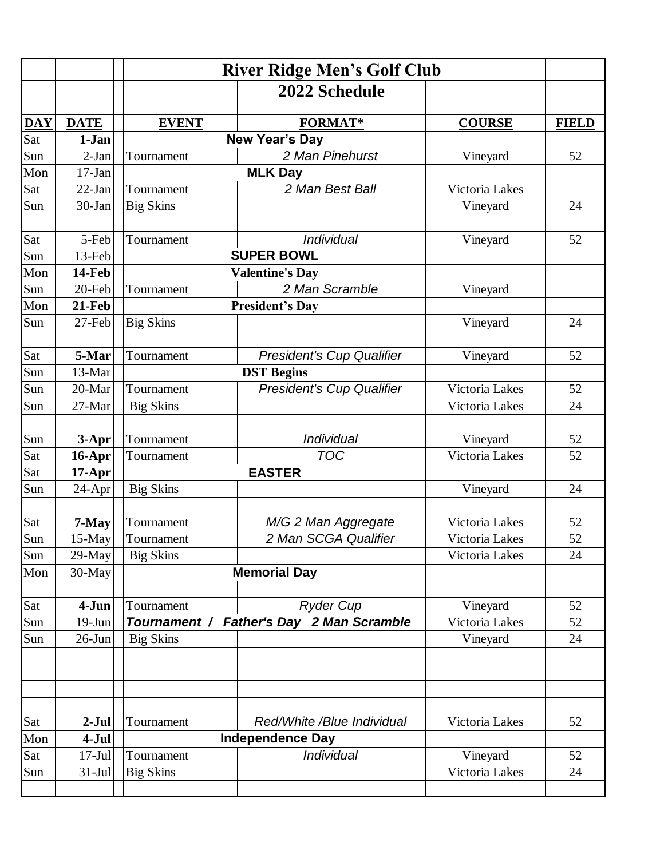|            |                    |                                            | <b>River Ridge Men's Golf Club</b>          |                |              |  |  |
|------------|--------------------|--------------------------------------------|---------------------------------------------|----------------|--------------|--|--|
|            |                    |                                            | 2022 Schedule                               |                |              |  |  |
|            |                    |                                            |                                             |                |              |  |  |
| <b>DAY</b> | <b>DATE</b>        | <b>EVENT</b>                               | <b>FORMAT*</b>                              | <b>COURSE</b>  | <b>FIELD</b> |  |  |
| Sat        | $1-Jan$            |                                            | <b>New Year's Day</b>                       |                |              |  |  |
| Sun        | $2-Jan$            | Tournament                                 | 2 Man Pinehurst                             | Vineyard       | 52           |  |  |
| Mon        | $17$ -Jan          |                                            | <b>MLK Day</b>                              |                |              |  |  |
| Sat        | $22$ -Jan          | Tournament                                 | 2 Man Best Ball                             | Victoria Lakes |              |  |  |
| Sun        | 30-Jan             | <b>Big Skins</b>                           |                                             | Vineyard       | 24           |  |  |
|            |                    |                                            |                                             |                |              |  |  |
| Sat        | 5-Feb              | Tournament                                 | Individual                                  | Vineyard       | 52           |  |  |
| Sun        | 13-Feb             | <b>SUPER BOWL</b>                          |                                             |                |              |  |  |
| Mon        | 14-Feb             |                                            | <b>Valentine's Day</b>                      |                |              |  |  |
| Sun        | 20-Feb             | Tournament                                 | 2 Man Scramble                              | Vineyard       |              |  |  |
| Mon        | $21$ -Feb          |                                            | <b>President's Day</b>                      |                |              |  |  |
| Sun        | 27-Feb             | <b>Big Skins</b>                           |                                             | Vineyard       | 24           |  |  |
|            |                    |                                            |                                             |                |              |  |  |
| Sat        | 5-Mar              | Tournament                                 | President's Cup Qualifier                   | Vineyard       | 52           |  |  |
| Sun        | 13-Mar             | <b>DST Begins</b>                          |                                             |                |              |  |  |
| Sun        | 20-Mar             | Tournament                                 | President's Cup Qualifier                   | Victoria Lakes | 52           |  |  |
| Sun        | 27-Mar             | <b>Big Skins</b>                           |                                             | Victoria Lakes | 24           |  |  |
|            |                    |                                            |                                             |                |              |  |  |
| Sun        | $3-Apr$            | Tournament                                 | Individual                                  | Vineyard       | 52           |  |  |
| Sat        | $16$ -Apr          | <b>TOC</b><br>Victoria Lakes<br>Tournament |                                             |                | 52           |  |  |
| Sat        | $17-Apr$           | <b>EASTER</b>                              |                                             |                |              |  |  |
| Sun        | 24-Apr             | <b>Big Skins</b>                           |                                             | Vineyard       | 24           |  |  |
| Sat        |                    | Tournament                                 |                                             | Victoria Lakes | 52           |  |  |
| Sun        | 7-May<br>$15$ -May |                                            | M/G 2 Man Aggregate<br>2 Man SCGA Qualifier | Victoria Lakes | 52           |  |  |
| Sun        | 29-May             | Tournament<br><b>Big Skins</b>             |                                             | Victoria Lakes | 24           |  |  |
| Mon        | 30-May             |                                            |                                             |                |              |  |  |
|            |                    | <b>Memorial Day</b>                        |                                             |                |              |  |  |
| Sat        | 4-Jun              | Tournament                                 | <b>Ryder Cup</b>                            | Vineyard       | 52           |  |  |
| Sun        | $19-Jun$           | Tournament /                               | <b>Father's Day 2 Man Scramble</b>          | Victoria Lakes | 52           |  |  |
| Sun        | $26$ -Jun          | <b>Big Skins</b>                           |                                             | Vineyard       | 24           |  |  |
|            |                    |                                            |                                             |                |              |  |  |
|            |                    |                                            |                                             |                |              |  |  |
|            |                    |                                            |                                             |                |              |  |  |
|            |                    |                                            |                                             |                |              |  |  |
| Sat        | $2-Jul$            | Tournament                                 | Red/White /Blue Individual                  | Victoria Lakes | 52           |  |  |
| Mon        | $4-Jul$            |                                            | <b>Independence Day</b>                     |                |              |  |  |
| Sat        | $17-Jul$           | Tournament                                 | Individual                                  | Vineyard       | 52           |  |  |
| Sun        | $31-Jul$           | <b>Big Skins</b>                           |                                             | Victoria Lakes | 24           |  |  |
|            |                    |                                            |                                             |                |              |  |  |
|            |                    |                                            |                                             |                |              |  |  |